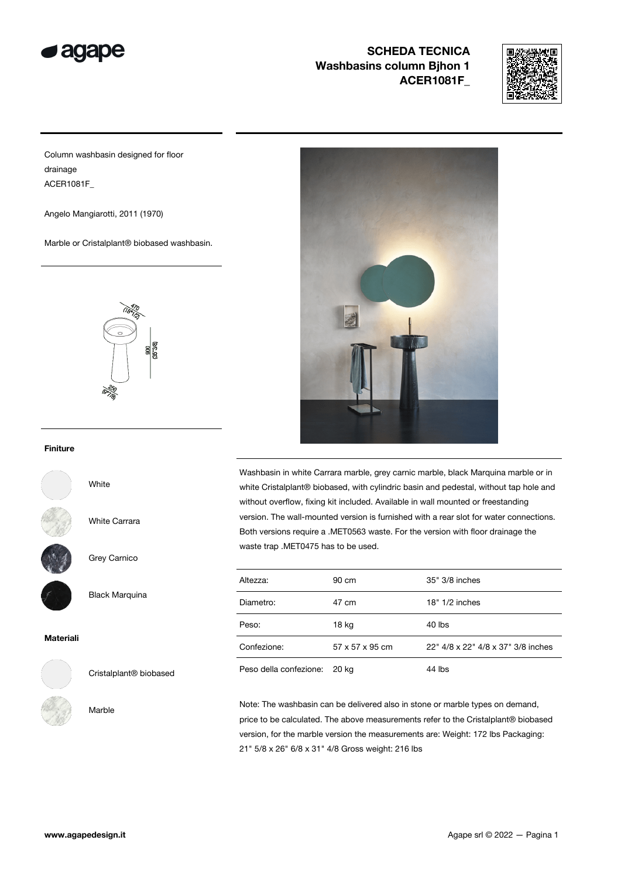

## SCHEDA TECNICA Washbasins column Bihon 1 ACER1081F\_



Column washbasin designed for floor drainage ACER1081F\_

Angelo Mangiarotti, 2011 (1970)

Marble or Cristalplant® biobased washbasin.



## Finiture



White

White Carrara



Grey Carnico

Black Marquina

## Materiali



Cristalplant® biobased



Note: The washbasin can be delivered also in stone or marble types on demand, price to be calculated. The above measurements refer to the Cristalplant® biobased version, for the marble version the measurements are: Weight: 172 lbs Packaging: 21" 5/8 x 26" 6/8 x 31" 4/8 Gross weight: 216 lbs



Washbasin in white Carrara marble, grey carnic marble, black Marquina marble or in white Cristalplant® biobased, with cylindric basin and pedestal, without tap hole and without overflow, fixing kit included. Available in wall mounted or freestanding version. The wall-mounted version is furnished with a rear slot for water connections. Both versions require a .MET0563 waste. For the version with floor drainage the waste trap .MET0475 has to be used.

| Altezza:               | 90 cm           | 35" 3/8 inches                     |
|------------------------|-----------------|------------------------------------|
| Diametro:              | 47 cm           | $18" 1/2$ inches                   |
| Peso:                  | 18 kg           | 40 lbs                             |
| Confezione:            | 57 x 57 x 95 cm | 22" 4/8 x 22" 4/8 x 37" 3/8 inches |
| Peso della confezione: | 20 kg           | 44 lbs                             |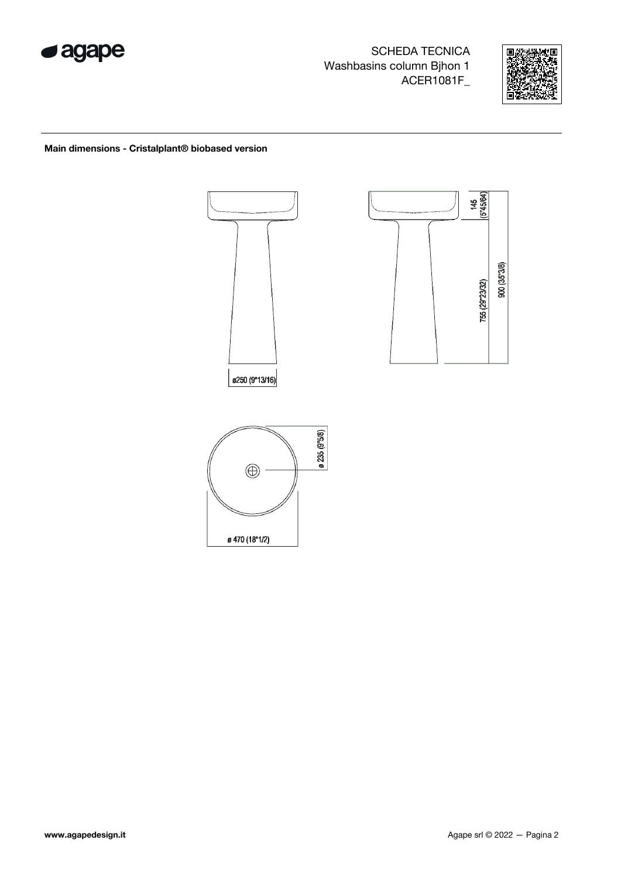

SCHEDA TECNICA Washbasins column Bjhon 1 ACER1081F\_



## Main dimensions - Cristalplant® biobased version

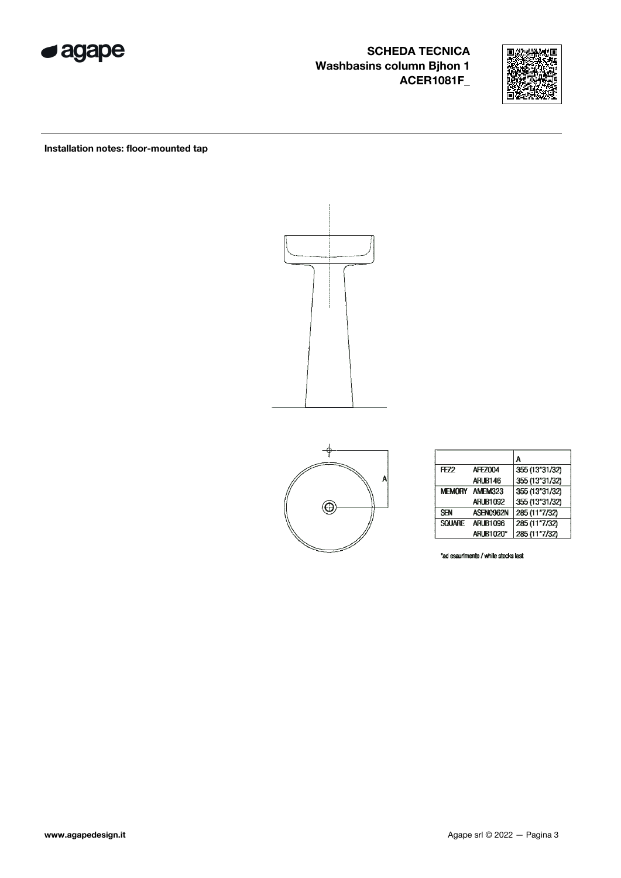

SCHEDA TECNICA Washbasins column Bjhon 1 ACER1081F\_



Installation notes: floor-mounted tap





|                 |                  | Α              |
|-----------------|------------------|----------------|
| H <sub>72</sub> | <b>AFEZ004</b>   | 355 (13"31/32) |
|                 | <b>ARUB146</b>   | 355 (13"31/32) |
|                 | MEMORY AMEM323   | 355 (13"31/32) |
|                 | <b>ARUB1092</b>  | 355 (13"31/32) |
| <b>SEN</b>      | ASEN0962N        | 285 (11"7/32)  |
| <b>SOLIARE</b>  | <b>ARLIB1096</b> | 285 (11"7/32)  |
|                 | <b>ARUB1020*</b> | 285 (11"7/32)  |

"ad esaurimento / while stocks last